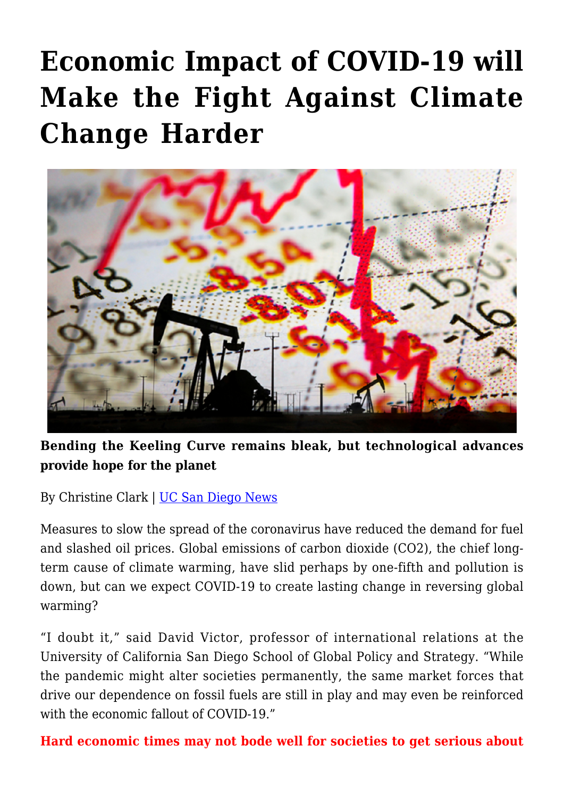# **[Economic Impact of COVID-19 will](https://gpsnews.ucsd.edu/economic-impact-of-covid-19-will-make-the-fight-against-climate-change-harder/) [Make the Fight Against Climate](https://gpsnews.ucsd.edu/economic-impact-of-covid-19-will-make-the-fight-against-climate-change-harder/) [Change Harder](https://gpsnews.ucsd.edu/economic-impact-of-covid-19-will-make-the-fight-against-climate-change-harder/)**



**Bending the Keeling Curve remains bleak, but technological advances provide hope for the planet**

By Christine Clark | [UC San Diego News](https://ucsdnews.ucsd.edu/pressrelease/economic-impact-of-covid-19-will-make-the-fight-against-climate-change-harder)

Measures to slow the spread of the coronavirus have reduced the demand for fuel and slashed oil prices. Global emissions of carbon dioxide (CO2), the chief longterm cause of climate warming, have slid perhaps by one-fifth and pollution is down, but can we expect COVID-19 to create lasting change in reversing global warming?

"I doubt it," said David Victor, professor of international relations at the University of California San Diego School of Global Policy and Strategy. "While the pandemic might alter societies permanently, the same market forces that drive our dependence on fossil fuels are still in play and may even be reinforced with the economic fallout of COVID-19."

**Hard economic times may not bode well for societies to get serious about**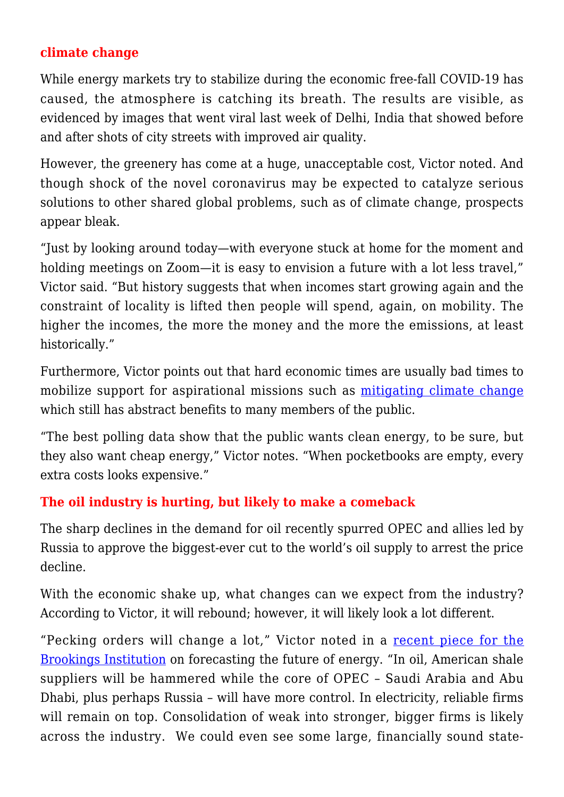## **climate change**

While energy markets try to stabilize during the economic free-fall COVID-19 has caused, the atmosphere is catching its breath. The results are visible, as evidenced by images that went viral last week of Delhi, India that showed before and after shots of city streets with improved air quality.

However, the greenery has come at a huge, unacceptable cost, Victor noted. And though shock of the novel coronavirus may be expected to catalyze serious solutions to other shared global problems, such as of climate change, prospects appear bleak.

"Just by looking around today—with everyone stuck at home for the moment and holding meetings on Zoom—it is easy to envision a future with a lot less travel." Victor said. "But history suggests that when incomes start growing again and the constraint of locality is lifted then people will spend, again, on mobility. The higher the incomes, the more the money and the more the emissions, at least historically."

Furthermore, Victor points out that hard economic times are usually bad times to mobilize support for aspirational missions such as [mitigating climate change](https://www.ft.com/content/052923d2-78c2-11ea-af44-daa3def9ae03) which still has abstract benefits to many members of the public.

"The best polling data show that the public wants clean energy, to be sure, but they also want cheap energy," Victor notes. "When pocketbooks are empty, every extra costs looks expensive."

#### **The oil industry is hurting, but likely to make a comeback**

The sharp declines in the demand for oil recently spurred OPEC and allies led by Russia to approve the biggest-ever cut to the world's oil supply to arrest the price decline.

With the economic shake up, what changes can we expect from the industry? According to Victor, it will rebound; however, it will likely look a lot different.

"Pecking orders will change a lot," Victor noted in a [recent piece for the](https://www.brookings.edu/blog/order-from-chaos/2020/04/03/forecasting-energy-futures-amid-the-coronavirus-outbreak/) [Brookings Institution](https://www.brookings.edu/blog/order-from-chaos/2020/04/03/forecasting-energy-futures-amid-the-coronavirus-outbreak/) on forecasting the future of energy. "In oil, American shale suppliers will be hammered while the core of OPEC – Saudi Arabia and Abu Dhabi, plus perhaps Russia – will have more control. In electricity, reliable firms will remain on top. Consolidation of weak into stronger, bigger firms is likely across the industry. We could even see some large, financially sound state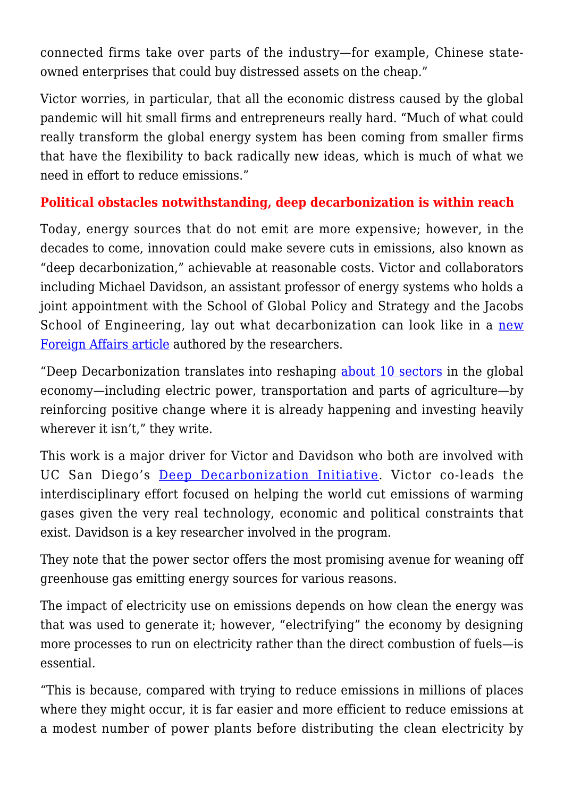connected firms take over parts of the industry—for example, Chinese stateowned enterprises that could buy distressed assets on the cheap."

Victor worries, in particular, that all the economic distress caused by the global pandemic will hit small firms and entrepreneurs really hard. "Much of what could really transform the global energy system has been coming from smaller firms that have the flexibility to back radically new ideas, which is much of what we need in effort to reduce emissions."

## **Political obstacles notwithstanding, deep decarbonization is within reach**

Today, energy sources that do not emit are more expensive; however, in the decades to come, innovation could make severe cuts in emissions, also known as "deep decarbonization," achievable at reasonable costs. Victor and collaborators including Michael Davidson, an assistant professor of energy systems who holds a joint appointment with the School of Global Policy and Strategy and the Jacobs School of Engineering, lay out what decarbonization can look like in a [new](https://www.foreignaffairs.com/articles/2020-04-13/paths-net-zero) [Foreign Affairs article](https://www.foreignaffairs.com/articles/2020-04-13/paths-net-zero) authored by the researchers.

"Deep Decarbonization translates into reshaping [about 10 sectors](http://www.energy-transitions.org/content/accelerating-low-carbon-transition) in the global economy—including electric power, transportation and parts of agriculture—by reinforcing positive change where it is already happening and investing heavily wherever it isn't," they write.

This work is a major driver for Victor and Davidson who both are involved with UC San Diego's [Deep Decarbonization Initiative.](https://deepdecarbon.ucsd.edu/) Victor co-leads the interdisciplinary effort focused on helping the world cut emissions of warming gases given the very real technology, economic and political constraints that exist. Davidson is a key researcher involved in the program.

They note that the power sector offers the most promising avenue for weaning off greenhouse gas emitting energy sources for various reasons.

The impact of electricity use on emissions depends on how clean the energy was that was used to generate it; however, "electrifying" the economy by designing more processes to run on electricity rather than the direct combustion of fuels—is essential.

"This is because, compared with trying to reduce emissions in millions of places where they might occur, it is far easier and more efficient to reduce emissions at a modest number of power plants before distributing the clean electricity by